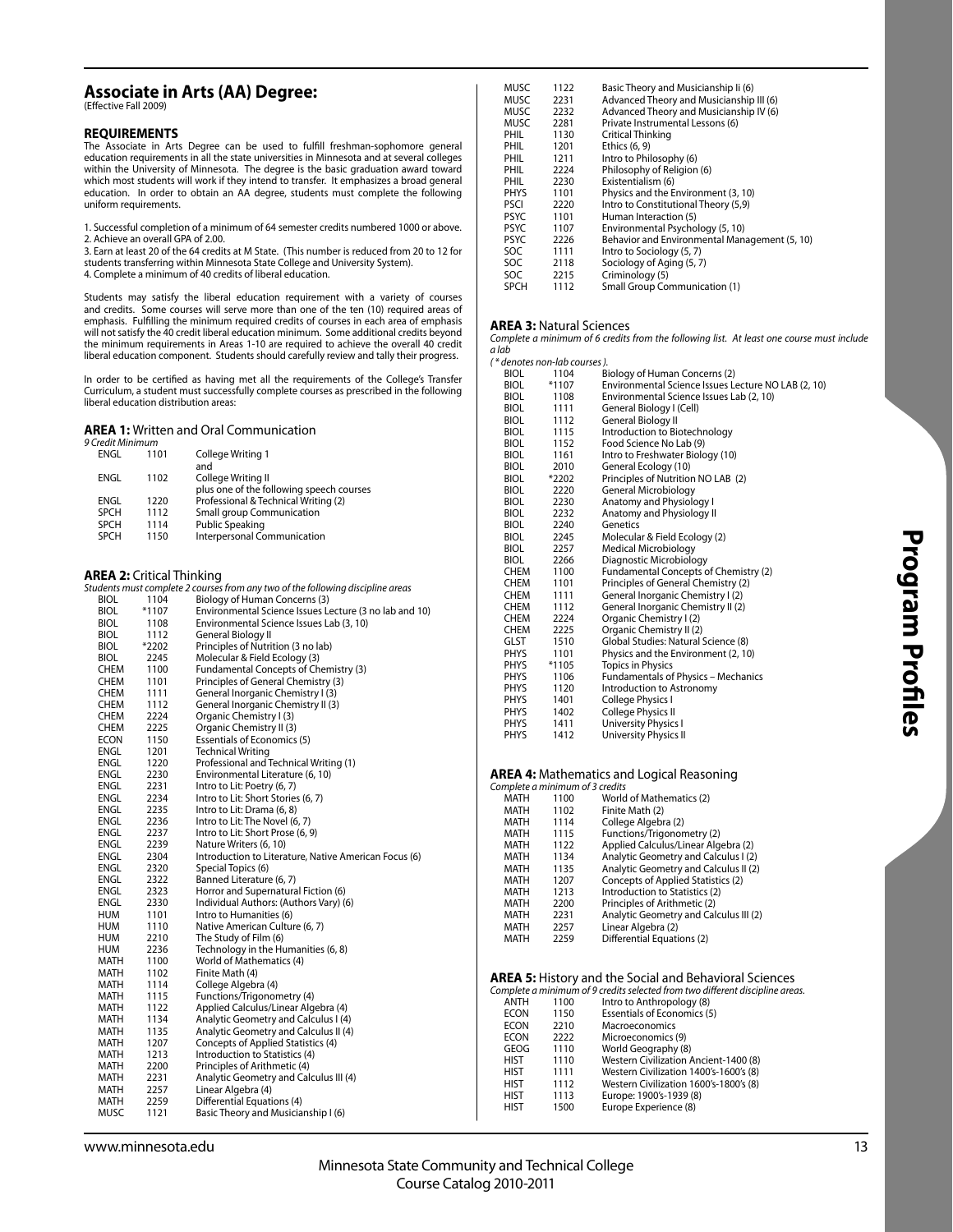## **Associate in Arts (AA) Degree:**

(Effective Fall 2009)

#### **REQUIREMENTS**

The Associate in Arts Degree can be used to fulfill freshman-sophomore general education requirements in all the state universities in Minnesota and at several colleges within the University of Minnesota. The degree is the basic graduation award toward which most students will work if they intend to transfer. It emphasizes a broad general education. In order to obtain an AA degree, students must complete the following uniform requirements.

1. Successful completion of a minimum of 64 semester credits numbered 1000 or above. 2. Achieve an overall GPA of 2.00.

- 
- 3. Earn at least 20 of the 64 credits at M State. (This number is reduced from 20 to 12 for students transferring within Minnesota State College and University System).
- 4. Complete a minimum of 40 credits of liberal education.

Students may satisfy the liberal education requirement with a variety of courses and credits. Some courses will serve more than one of the ten (10) required areas of emphasis. Fulfilling the minimum required credits of courses in each area of emphasis will not satisfy the 40 credit liberal education minimum. Some additional credits beyond the minimum requirements in Areas 1-10 are required to achieve the overall 40 credit liberal education component. Students should carefully review and tally their progress.

In order to be certified as having met all the requirements of the College's Transfer Curriculum, a student must successfully complete courses as prescribed in the following liberal education distribution areas:

#### **AREA 1:** Written and Oral Communication

| 9 Credit Minimum |      |                                                                |
|------------------|------|----------------------------------------------------------------|
| ENGL             | 1101 | College Writing 1<br>and                                       |
| ENGL             | 1102 | College Writing II<br>plus one of the following speech courses |
| ENGL             | 1220 | Professional & Technical Writing (2)                           |
| <b>SPCH</b>      | 1112 | <b>Small group Communication</b>                               |
| <b>SPCH</b>      | 1114 | <b>Public Speaking</b>                                         |
| <b>SPCH</b>      | 1150 | Interpersonal Communication                                    |
|                  |      |                                                                |

### **AREA 2:** Critical Thinking

| ANLA 4. CHUCAI THILINING |              |                                                                                 |
|--------------------------|--------------|---------------------------------------------------------------------------------|
|                          |              | Students must complete 2 courses from any two of the following discipline areas |
| <b>BIOL</b>              | 1104         | Biology of Human Concerns (3)                                                   |
| <b>BIOL</b>              | $*1107$      | Environmental Science Issues Lecture (3 no lab and 10)                          |
| BIOL                     | 1108         | Environmental Science Issues Lab (3, 10)                                        |
| <b>BIOL</b>              | 1112         | General Biology II                                                              |
| <b>BIOL</b>              | *2202        | Principles of Nutrition (3 no lab)                                              |
| <b>BIOL</b>              | 2245         | Molecular & Field Ecology (3)                                                   |
| CHEM                     | 1100         | Fundamental Concepts of Chemistry (3)                                           |
| <b>CHEM</b>              | 1101         | Principles of General Chemistry (3)                                             |
| <b>CHEM</b>              | 1111         | General Inorganic Chemistry I (3)                                               |
| <b>CHEM</b>              | 1112         | General Inorganic Chemistry II (3)                                              |
| <b>CHEM</b>              | 2224         | Organic Chemistry I (3)                                                         |
| <b>CHEM</b>              | 2225         | Organic Chemistry II (3)                                                        |
| ECON                     | 1150         | <b>Essentials of Economics (5)</b>                                              |
| ENGL                     | 1201         | <b>Technical Writing</b>                                                        |
| ENGL                     | 1220         | Professional and Technical Writing (1)                                          |
| ENGL                     | 2230         | Environmental Literature (6, 10)                                                |
|                          |              |                                                                                 |
| ENGL<br>ENGL             | 2231<br>2234 | Intro to Lit: Poetry (6, 7)<br>Intro to Lit: Short Stories (6, 7)               |
|                          |              |                                                                                 |
| ENGL                     | 2235         | Intro to Lit: Drama (6, 8)                                                      |
| ENGL                     | 2236         | Intro to Lit: The Novel (6, 7)                                                  |
| ENGL                     | 2237         | Intro to Lit: Short Prose (6, 9)                                                |
| ENGL                     | 2239         | Nature Writers (6, 10)                                                          |
| ENGL                     | 2304         | Introduction to Literature, Native American Focus (6)                           |
| ENGL                     | 2320         | Special Topics (6)                                                              |
| ENGL                     | 2322         | Banned Literature (6, 7)                                                        |
| ENGL                     | 2323         | Horror and Supernatural Fiction (6)                                             |
| ENGL                     | 2330         | Individual Authors: (Authors Vary) (6)                                          |
| <b>HUM</b>               | 1101         | Intro to Humanities (6)                                                         |
| <b>HUM</b>               | 1110         | Native American Culture (6, 7)                                                  |
| HUM                      | 2210         | The Study of Film (6)                                                           |
| HUM                      | 2236         | Technology in the Humanities (6, 8)                                             |
| MATH                     | 1100         | World of Mathematics (4)                                                        |
| MATH                     | 1102         | Finite Math (4)                                                                 |
| MATH                     | 1114         | College Algebra (4)                                                             |
| MATH                     | 1115         | Functions/Trigonometry (4)                                                      |
| MATH                     | 1122         | Applied Calculus/Linear Algebra (4)                                             |
| MATH                     | 1134         | Analytic Geometry and Calculus I (4)                                            |
| <b>MATH</b>              | 1135         | Analytic Geometry and Calculus II (4)                                           |
| <b>MATH</b>              | 1207         | Concepts of Applied Statistics (4)                                              |
| MATH                     | 1213         | Introduction to Statistics (4)                                                  |
| MATH                     | 2200         | Principles of Arithmetic (4)                                                    |
| MATH                     | 2231         | Analytic Geometry and Calculus III (4)                                          |
| MATH                     | 2257         | Linear Algebra (4)                                                              |
| MATH                     | 2259         | Differential Equations (4)                                                      |
| MUSC                     | 1121         | Basic Theory and Musicianship I (6)                                             |
|                          |              |                                                                                 |

| MUSC        | 1122 | Basic Theory and Musicianship Ii (6)          |
|-------------|------|-----------------------------------------------|
| <b>MUSC</b> | 2231 | Advanced Theory and Musicianship III (6)      |
| <b>MUSC</b> | 2232 | Advanced Theory and Musicianship IV (6)       |
| MUSC        | 2281 | Private Instrumental Lessons (6)              |
| PHIL        | 1130 | Critical Thinking                             |
| PHIL        | 1201 | Ethics (6, 9)                                 |
| PHIL        | 1211 | Intro to Philosophy (6)                       |
| PHIL        | 2224 | Philosophy of Religion (6)                    |
| PHIL        | 2230 | Existentialism (6)                            |
| <b>PHYS</b> | 1101 | Physics and the Environment (3, 10)           |
| <b>PSCI</b> | 2220 | Intro to Constitutional Theory (5,9)          |
| <b>PSYC</b> | 1101 | Human Interaction (5)                         |
| <b>PSYC</b> | 1107 | Environmental Psychology (5, 10)              |
| <b>PSYC</b> | 2226 | Behavior and Environmental Management (5, 10) |
| SOC         | 1111 | Intro to Sociology (5, 7)                     |
| SOC         | 2118 | Sociology of Aging (5, 7)                     |
| SOC         | 2215 | Criminology (5)                               |
| <b>SPCH</b> | 1112 | <b>Small Group Communication (1)</b>          |

#### **AREA 3:** Natural Sciences

Complete a minimum of 6 credits from the following list. At least one course must include a lab

|             | ( * denotes non-lab courses ). |                                                     |
|-------------|--------------------------------|-----------------------------------------------------|
| <b>BIOL</b> | 1104                           | Biology of Human Concerns (2)                       |
| <b>BIOL</b> | $*1107$                        | Environmental Science Issues Lecture NO LAB (2, 10) |
| <b>BIOL</b> | 1108                           | Environmental Science Issues Lab (2, 10)            |
| <b>BIOL</b> | 1111                           | General Biology I (Cell)                            |
| <b>BIOL</b> | 1112                           | General Biology II                                  |
| <b>BIOL</b> | 1115                           | Introduction to Biotechnology                       |
| <b>BIOL</b> | 1152                           | Food Science No Lab (9)                             |
| <b>BIOL</b> | 1161                           | Intro to Freshwater Biology (10)                    |
| <b>BIOL</b> | 2010                           | General Ecology (10)                                |
| <b>BIOL</b> | *2202                          | Principles of Nutrition NO LAB (2)                  |
| <b>BIOL</b> | 2220                           | General Microbiology                                |
| <b>BIOL</b> | 2230                           | Anatomy and Physiology I                            |
| <b>BIOL</b> | 2232                           | Anatomy and Physiology II                           |
| <b>BIOL</b> | 2240                           | Genetics                                            |
| <b>BIOL</b> | 2245                           | Molecular & Field Ecology (2)                       |
| BIOL        | 2257                           | Medical Microbiology                                |
| BIOL        | 2266                           | Diagnostic Microbiology                             |
| <b>CHEM</b> | 1100                           | Fundamental Concepts of Chemistry (2)               |
| <b>CHEM</b> | 1101                           | Principles of General Chemistry (2)                 |
| <b>CHEM</b> | 1111                           | General Inorganic Chemistry I (2)                   |
| <b>CHEM</b> | 1112                           | General Inorganic Chemistry II (2)                  |
| <b>CHEM</b> | 2224                           | Organic Chemistry I (2)                             |
| <b>CHEM</b> | 2225                           | Organic Chemistry II (2)                            |
| GLST        | 1510                           | Global Studies: Natural Science (8)                 |
| <b>PHYS</b> | 1101                           | Physics and the Environment (2, 10)                 |
| <b>PHYS</b> | *1105                          | <b>Topics in Physics</b>                            |
| <b>PHYS</b> | 1106                           | <b>Fundamentals of Physics - Mechanics</b>          |
| <b>PHYS</b> | 1120                           | Introduction to Astronomy                           |
| <b>PHYS</b> | 1401                           | College Physics I                                   |
| <b>PHYS</b> | 1402                           | College Physics II                                  |
| <b>PHYS</b> | 1411                           | University Physics I                                |
| <b>PHYS</b> | 1412                           | University Physics II                               |

## **AREA 4:** Mathematics and Logical Reasoning Complete a minimum of 3 credits

| Complete a minimum of 3 credits |      |                                        |
|---------------------------------|------|----------------------------------------|
| <b>MATH</b>                     | 1100 | World of Mathematics (2)               |
| <b>MATH</b>                     | 1102 | Finite Math (2)                        |
| <b>MATH</b>                     | 1114 | College Algebra (2)                    |
| <b>MATH</b>                     | 1115 | Functions/Trigonometry (2)             |
| <b>MATH</b>                     | 1122 | Applied Calculus/Linear Algebra (2)    |
| <b>MATH</b>                     | 1134 | Analytic Geometry and Calculus I (2)   |
| <b>MATH</b>                     | 1135 | Analytic Geometry and Calculus II (2)  |
| <b>MATH</b>                     | 1207 | Concepts of Applied Statistics (2)     |
| <b>MATH</b>                     | 1213 | Introduction to Statistics (2)         |
| <b>MATH</b>                     | 2200 | Principles of Arithmetic (2)           |
| <b>MATH</b>                     | 2231 | Analytic Geometry and Calculus III (2) |
| <b>MATH</b>                     | 2257 | Linear Algebra (2)                     |
| MATH                            | 2259 | Differential Equations (2)             |
|                                 |      |                                        |

# **AREA 5:** History and the Social and Behavioral Sciences Complete a minimum of 9 credits selected from two different discipline areas.

|             |      | Complete a minimum of 9 credits selected from two different discipline areas. |
|-------------|------|-------------------------------------------------------------------------------|
| ANTH        | 1100 | Intro to Anthropology (8)                                                     |
| <b>ECON</b> | 1150 | <b>Essentials of Economics (5)</b>                                            |
| <b>ECON</b> | 2210 | Macroeconomics                                                                |
| <b>ECON</b> | 2222 | Microeconomics (9)                                                            |
| GEOG        | 1110 | World Geography (8)                                                           |
| <b>HIST</b> | 1110 | Western Civilization Ancient-1400 (8)                                         |
| <b>HIST</b> | 1111 | Western Civilization 1400's-1600's (8)                                        |
| <b>HIST</b> | 1112 | Western Civilization 1600's-1800's (8)                                        |
| <b>HIST</b> | 1113 | Europe: 1900's-1939 (8)                                                       |
| <b>HIST</b> | 1500 | Europe Experience (8)                                                         |
|             |      |                                                                               |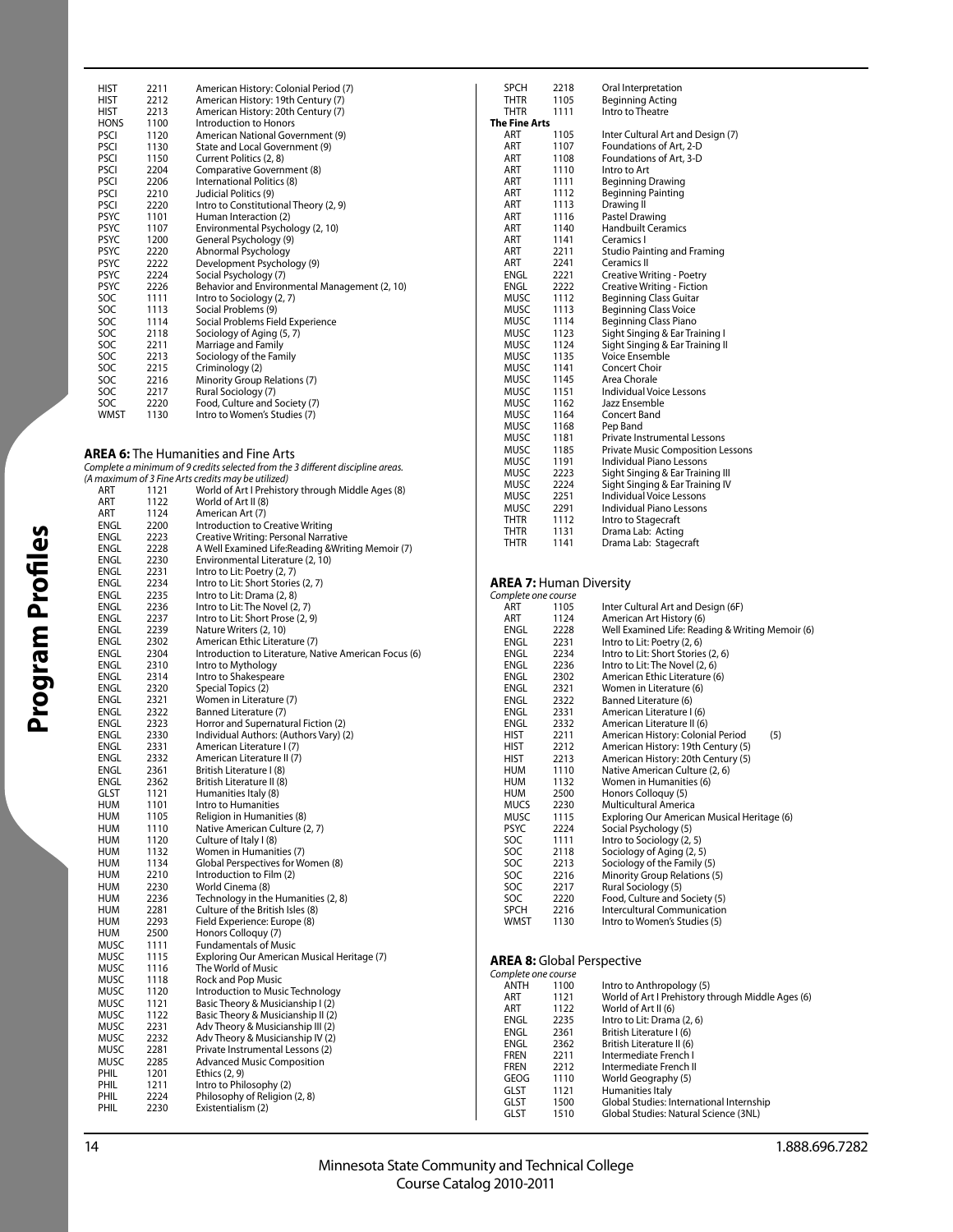| HIST        | 2211 | American History: Colonial Period (7)         |
|-------------|------|-----------------------------------------------|
| HIST        | 2212 | American History: 19th Century (7)            |
| HIST        | 2213 | American History: 20th Century (7)            |
| HONS        | 1100 | Introduction to Honors                        |
| <b>PSCI</b> | 1120 | American National Government (9)              |
| PSCI        | 1130 | State and Local Government (9)                |
| PSCI        | 1150 | Current Politics (2, 8)                       |
| PSCI        | 2204 | Comparative Government (8)                    |
| <b>PSCI</b> | 2206 | International Politics (8)                    |
| PSCI        | 2210 | Judicial Politics (9)                         |
| PSCI        | 2220 | Intro to Constitutional Theory (2, 9)         |
| <b>PSYC</b> | 1101 | Human Interaction (2)                         |
| <b>PSYC</b> | 1107 | Environmental Psychology (2, 10)              |
| <b>PSYC</b> | 1200 | General Psychology (9)                        |
| <b>PSYC</b> | 2220 | Abnormal Psychology                           |
| <b>PSYC</b> | 2222 | Development Psychology (9)                    |
| <b>PSYC</b> | 2224 | Social Psychology (7)                         |
| <b>PSYC</b> | 2226 | Behavior and Environmental Management (2, 10) |
| SOC         | 1111 | Intro to Sociology (2, 7)                     |
| SOC         | 1113 | Social Problems (9)                           |
| SOC         | 1114 | Social Problems Field Experience              |
| SOC         | 2118 | Sociology of Aging (5, 7)                     |
| SOC         | 2211 | Marriage and Family                           |
| SOC         | 2213 | Sociology of the Family                       |
| SOC         | 2215 | Criminology (2)                               |
| SOC         | 2216 | Minority Group Relations (7)                  |
| SOC         | 2217 | Rural Sociology (7)                           |
| SOC         | 2220 | Food, Culture and Society (7)                 |
| <b>WMST</b> | 1130 | Intro to Women's Studies (7)                  |
|             |      |                                               |

### **AREA 6:** The Humanities and Fine Arts

| Complete a minimum of 9 credits selected from the 3 different discipline areas. |
|---------------------------------------------------------------------------------|
| (A maximum of 3 Fine Arts credits may be utilized)                              |

|             |      | (A maximum or 5 rine Arts credits may be duized)      |
|-------------|------|-------------------------------------------------------|
| ART         | 1121 | World of Art I Prehistory through Middle Ages (8)     |
| ART         | 1122 | World of Art II (8)                                   |
| ART         | 1124 | American Art (7)                                      |
| ENGL        | 2200 | Introduction to Creative Writing                      |
| ENGL        | 2223 | Creative Writing: Personal Narrative                  |
| ENGL        | 2228 | A Well Examined Life:Reading & Writing Memoir (7)     |
| ENGL        | 2230 | Environmental Literature (2, 10)                      |
| ENGL        | 2231 | Intro to Lit: Poetry (2, 7)                           |
| ENGL        | 2234 | Intro to Lit: Short Stories (2, 7)                    |
| ENGL        | 2235 | Intro to Lit: Drama (2, 8)                            |
| ENGL        | 2236 | Intro to Lit: The Novel (2, 7)                        |
| ENGL        | 2237 | Intro to Lit: Short Prose (2, 9)                      |
| ENGL        | 2239 | Nature Writers (2, 10)                                |
| ENGL        | 2302 | American Ethic Literature (7)                         |
| ENGL        | 2304 | Introduction to Literature, Native American Focus (6) |
| ENGL        | 2310 | Intro to Mythology                                    |
| ENGL        | 2314 | Intro to Shakespeare                                  |
| ENGL        | 2320 |                                                       |
|             |      | Special Topics (2)                                    |
| ENGL        | 2321 | Women in Literature (7)                               |
| ENGL        | 2322 | Banned Literature (7)                                 |
| ENGL        | 2323 | Horror and Supernatural Fiction (2)                   |
| ENGL        | 2330 | Individual Authors: (Authors Vary) (2)                |
| ENGL        | 2331 | American Literature I (7)                             |
| ENGL        | 2332 | American Literature II (7)                            |
| ENGL        | 2361 | British Literature I (8)                              |
| ENGL        | 2362 | British Literature II (8)                             |
| GLST        | 1121 | Humanities Italy (8)                                  |
| <b>HUM</b>  | 1101 | Intro to Humanities                                   |
| <b>HUM</b>  | 1105 | Religion in Humanities (8)                            |
| <b>HUM</b>  | 1110 | Native American Culture (2, 7)                        |
| <b>HUM</b>  | 1120 | Culture of Italy I (8)                                |
| <b>HUM</b>  | 1132 | Women in Humanities (7)                               |
| <b>HUM</b>  | 1134 | Global Perspectives for Women (8)                     |
| <b>HUM</b>  | 2210 | Introduction to Film (2)                              |
| <b>HUM</b>  | 2230 | World Cinema (8)                                      |
| <b>HUM</b>  | 2236 | Technology in the Humanities (2, 8)                   |
| <b>HUM</b>  | 2281 | Culture of the British Isles (8)                      |
| <b>HUM</b>  | 2293 | Field Experience: Europe (8)                          |
| <b>HUM</b>  | 2500 | Honors Colloquy (7)                                   |
| MUSC        | 1111 | <b>Fundamentals of Music</b>                          |
| MUSC        | 1115 | Exploring Our American Musical Heritage (7)           |
| MUSC        | 1116 | The World of Music                                    |
| MUSC        | 1118 | Rock and Pop Music                                    |
| MUSC        | 1120 | Introduction to Music Technology                      |
| MUSC        | 1121 | Basic Theory & Musicianship I (2)                     |
| MUSC        | 1122 | Basic Theory & Musicianship II (2)                    |
| MUSC        | 2231 | Adv Theory & Musicianship III (2)                     |
| MUSC        | 2232 | Adv Theory & Musicianship IV (2)                      |
| <b>MUSC</b> | 2281 | Private Instrumental Lessons (2)                      |
| MUSC        | 2285 | <b>Advanced Music Composition</b>                     |
| PHIL        | 1201 | Ethics (2, 9)                                         |
| PHIL        | 1211 | Intro to Philosophy (2)                               |
| PHIL        | 2224 | Philosophy of Religion (2, 8)                         |
| PHIL        | 2230 | Existentialism (2)                                    |
|             |      |                                                       |

| <b>SPCH</b>   | 2218 | Oral Interpretation                      |
|---------------|------|------------------------------------------|
| THTR          | 1105 | Beginning Acting                         |
| THTR          | 1111 | Intro to Theatre                         |
| The Fine Arts |      |                                          |
| ART           | 1105 | Inter Cultural Art and Design (7)        |
| ART           | 1107 | Foundations of Art, 2-D                  |
| ART           | 1108 | Foundations of Art, 3-D                  |
| ART           | 1110 | Intro to Art                             |
| ART           | 1111 | <b>Beginning Drawing</b>                 |
| ART           | 1112 | <b>Beginning Painting</b>                |
| ART           | 1113 | Drawing II                               |
| ART           | 1116 | Pastel Drawing                           |
| ART           | 1140 | <b>Handbuilt Ceramics</b>                |
| ART           | 1141 | Ceramics I                               |
| ART           | 2211 | <b>Studio Painting and Framing</b>       |
| ART           | 2241 | Ceramics II                              |
| ENGL          | 2221 | Creative Writing - Poetry                |
| ENGL          | 2222 | Creative Writing - Fiction               |
| MUSC          | 1112 | <b>Beginning Class Guitar</b>            |
| MUSC          | 1113 | <b>Beginning Class Voice</b>             |
| MUSC          | 1114 | <b>Beginning Class Piano</b>             |
| MUSC          | 1123 | Sight Singing & Ear Training I           |
| MUSC          | 1124 | Sight Singing & Ear Training II          |
| MUSC          | 1135 | Voice Ensemble                           |
| MUSC          | 1141 | Concert Choir                            |
| MUSC          | 1145 | Area Chorale                             |
| MUSC          | 1151 | Individual Voice Lessons                 |
| MUSC          | 1162 | Jazz Ensemble                            |
| MUSC          | 1164 | Concert Band                             |
| <b>MUSC</b>   | 1168 | Pep Band                                 |
| MUSC          | 1181 | Private Instrumental Lessons             |
| <b>MUSC</b>   | 1185 | <b>Private Music Composition Lessons</b> |
| <b>MUSC</b>   | 1191 | <b>Individual Piano Lessons</b>          |
| <b>MUSC</b>   | 2223 | Sight Singing & Ear Training III         |
| MUSC          | 2224 | Sight Singing & Ear Training IV          |
| MUSC          | 2251 | <b>Individual Voice Lessons</b>          |
| <b>MUSC</b>   | 2291 | <b>Individual Piano Lessons</b>          |
| <b>THTR</b>   | 1112 | Intro to Stagecraft                      |
| THTR          | 1131 | Drama Lab: Acting                        |
| THTR          | 1141 | Drama Lab: Stagecraft                    |

# **AREA 7:** Human Diversity Complete one course

| Complete one course |      |                                                  |
|---------------------|------|--------------------------------------------------|
| ART                 | 1105 | Inter Cultural Art and Design (6F)               |
| ART                 | 1124 | American Art History (6)                         |
| ENGL                | 2228 | Well Examined Life: Reading & Writing Memoir (6) |
| ENGL                | 2231 | Intro to Lit: Poetry (2, 6)                      |
| ENGL                | 2234 | Intro to Lit: Short Stories (2, 6)               |
| ENGL                | 2236 | Intro to Lit: The Novel (2, 6)                   |
| ENGL                | 2302 | American Ethic Literature (6)                    |
| ENGL                | 2321 | Women in Literature (6)                          |
| ENGL                | 2322 | Banned Literature (6)                            |
| ENGL                | 2331 | American Literature I (6)                        |
| ENGL                | 2332 | American Literature II (6)                       |
| HIST                | 2211 | American History: Colonial Period<br>(5)         |
| HIST                | 2212 | American History: 19th Century (5)               |
| <b>HIST</b>         | 2213 | American History: 20th Century (5)               |
| HUM                 | 1110 | Native American Culture (2, 6)                   |
| HUM                 | 1132 | Women in Humanities (6)                          |
| HUM                 | 2500 | Honors Colloguy (5)                              |
| MUCS                | 2230 | Multicultural America                            |
| MUSC                | 1115 | Exploring Our American Musical Heritage (6)      |
| PSYC                | 2224 | Social Psychology (5)                            |
| SOC                 | 1111 | Intro to Sociology (2, 5)                        |
| SOC                 | 2118 | Sociology of Aging (2, 5)                        |
| SOC                 | 2213 | Sociology of the Family (5)                      |
| SOC                 | 2216 | Minority Group Relations (5)                     |
| SOC                 | 2217 | Rural Sociology (5)                              |
| SOC                 | 2220 | Food, Culture and Society (5)                    |
| <b>SPCH</b>         | 2216 | Intercultural Communication                      |
| WMST                | 1130 | Intro to Women's Studies (5)                     |
|                     |      |                                                  |

### **AREA 8:** Global Perspective

| Complete one course |      |                                                   |
|---------------------|------|---------------------------------------------------|
| ANTH                | 1100 | Intro to Anthropology (5)                         |
| ART                 | 1121 | World of Art I Prehistory through Middle Ages (6) |
| ART                 | 1122 | World of Art II (6)                               |
| ENGL                | 2235 | Intro to Lit: Drama (2, 6)                        |
| ENGL                | 2361 | British Literature I (6)                          |
| ENGL                | 2362 | British Literature II (6)                         |
| <b>FREN</b>         | 2211 | Intermediate French I                             |
| <b>FREN</b>         | 2212 | Intermediate French II                            |
| GEOG                | 1110 | World Geography (5)                               |
| <b>GLST</b>         | 1121 | Humanities Italy                                  |
| <b>GLST</b>         | 1500 | Global Studies: International Internship          |
| GLST                | 1510 | Global Studies: Natural Science (3NL)             |
|                     |      |                                                   |

**Program Profi les**

Program Profiles